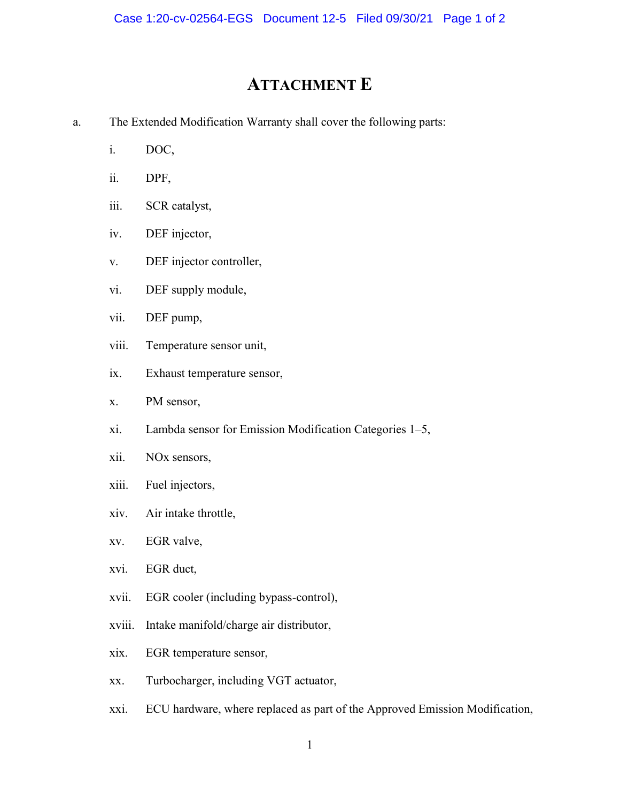## ATTACHMENT E

- a. The Extended Modification Warranty shall cover the following parts:
	- i. DOC,
	- ii. DPF,
	- iii. SCR catalyst,
	- iv. DEF injector,
	- v. DEF injector controller,
	- vi. DEF supply module,
	- vii. DEF pump,
	- viii. Temperature sensor unit,
	- ix. Exhaust temperature sensor,
	- x. PM sensor,
	- xi. Lambda sensor for Emission Modification Categories 1–5,
	- xii. NOx sensors,
	- xiii. Fuel injectors,
	- xiv. Air intake throttle,
	- xv. EGR valve,
	- xvi. EGR duct,
	- xvii. EGR cooler (including bypass-control),
	- xviii. Intake manifold/charge air distributor,
	- xix. EGR temperature sensor,
	- xx. Turbocharger, including VGT actuator,
	- xxi. ECU hardware, where replaced as part of the Approved Emission Modification,